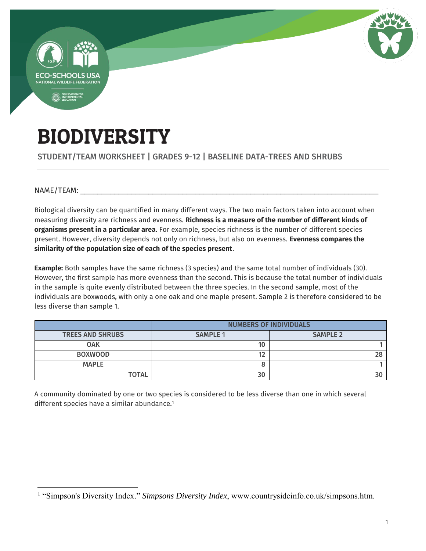

# BIODIVERSITY

### STUDENT/TEAM WORKSHEET | GRADES 9-12 | BASELINE DATA-TREES AND SHRUBS

NAME/TEAM:

 $\overline{a}$ 

Biological diversity can be quantified in many different ways. The two main factors taken into account when measuring diversity are richness and evenness. **Richness is a measure of the number of different kinds of organisms present in a particular area.** For example, species richness is the number of different species present. However, diversity depends not only on richness, but also on evenness. **Evenness compares the similarity of the population size of each of the species present**.

**Example:** Both samples have the same richness (3 species) and the same total number of individuals (30). However, the first sample has more evenness than the second. This is because the total number of individuals in the sample is quite evenly distributed between the three species. In the second sample, most of the individuals are boxwoods, with only a one oak and one maple present. Sample 2 is therefore considered to be less diverse than sample 1.

|                         | <b>NUMBERS OF INDIVIDUALS</b> |                 |  |
|-------------------------|-------------------------------|-----------------|--|
| <b>TREES AND SHRUBS</b> | <b>SAMPLE 1</b>               | <b>SAMPLE 2</b> |  |
| <b>OAK</b>              | 10                            |                 |  |
| <b>BOXWOOD</b>          |                               |                 |  |
| <b>MAPLE</b>            |                               |                 |  |
| <b>TOTAL</b>            | 30                            |                 |  |

A community dominated by one or two species is considered to be less diverse than one in which several different species have a similar abundance.<sup>1</sup>

<sup>&</sup>lt;sup>1</sup> "Simpson's Diversity Index." *Simpsons Diversity Index*, www.countrysideinfo.co.uk/simpsons.htm.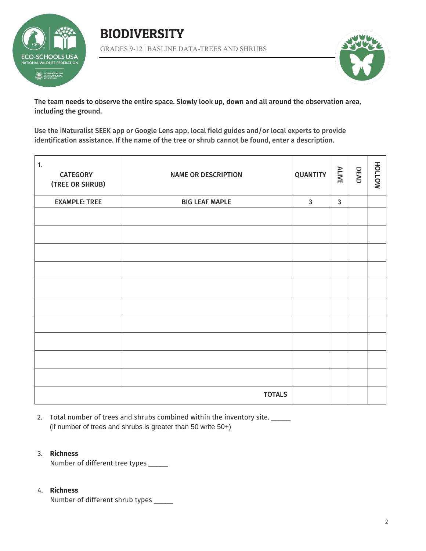

BIODIVERSITY GRADES 9-12 | BASLINE DATA-TREES AND SHRUBS



The team needs to observe the entire space. Slowly look up, down and all around the observation area, including the ground.

Use the iNaturalist SEEK app or Google Lens app, local field guides and/or local experts to provide identification assistance. If the name of the tree or shrub cannot be found, enter a description.

| 1.<br><b>CATEGORY</b><br>(TREE OR SHRUB) | <b>NAME OR DESCRIPTION</b> | <b>QUANTITY</b> | <b>ALIVE</b> | DEAD | NOTTOH |
|------------------------------------------|----------------------------|-----------------|--------------|------|--------|
| <b>EXAMPLE: TREE</b>                     | <b>BIG LEAF MAPLE</b>      | $\mathbf{3}$    | $\mathbf{3}$ |      |        |
|                                          |                            |                 |              |      |        |
|                                          |                            |                 |              |      |        |
|                                          |                            |                 |              |      |        |
|                                          |                            |                 |              |      |        |
|                                          |                            |                 |              |      |        |
|                                          |                            |                 |              |      |        |
|                                          |                            |                 |              |      |        |
|                                          |                            |                 |              |      |        |
|                                          |                            |                 |              |      |        |
|                                          |                            |                 |              |      |        |
|                                          | <b>TOTALS</b>              |                 |              |      |        |

2. Total number of trees and shrubs combined within the inventory site. (if number of trees and shrubs is greater than 50 write 50+)

#### 3. **Richness**

Number of different tree types \_\_\_\_\_

#### 4. **Richness**

Number of different shrub types \_\_\_\_\_\_